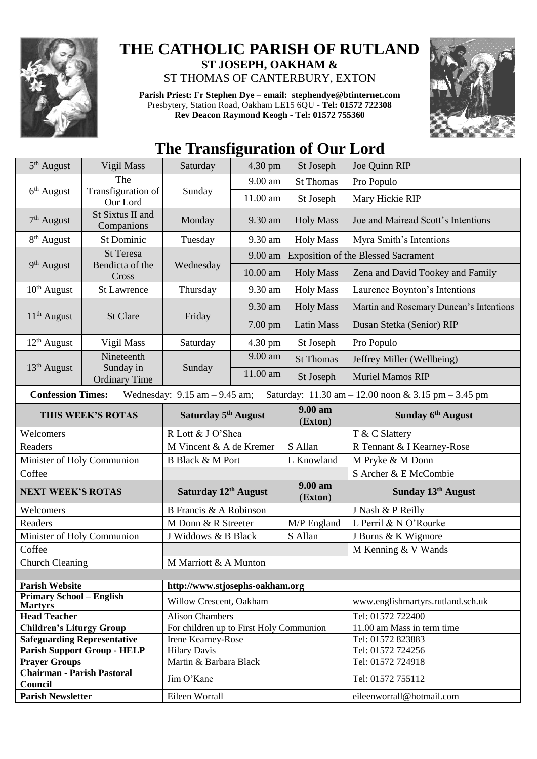

## **THE CATHOLIC PARISH OF RUTLAND ST JOSEPH, OAKHAM &**  ST THOMAS OF CANTERBURY, EXTON

**Parish Priest: Fr Stephen Dye** – **[email: stephendye@btinternet.com](mailto:email:%20%20stephendye@btinternet.com)** Presbytery, Station Road, Oakham LE15 6QU - **Tel: 01572 722308 Rev Deacon Raymond Keogh - Tel: 01572 755360**



## **The Transfiguration of Our Lord**

| $5th$ August                                                                                                         | Vigil Mass                                   | Saturday                                | $4.30$ pm | St Joseph          | Joe Quinn RIP                              |  |
|----------------------------------------------------------------------------------------------------------------------|----------------------------------------------|-----------------------------------------|-----------|--------------------|--------------------------------------------|--|
| $6th$ August                                                                                                         | The                                          | Sunday                                  | 9.00 am   | <b>St Thomas</b>   | Pro Populo                                 |  |
|                                                                                                                      | Transfiguration of<br>Our Lord               |                                         | 11.00 am  | St Joseph          | Mary Hickie RIP                            |  |
| $7th$ August                                                                                                         | St Sixtus II and<br>Companions               | Monday                                  | 9.30 am   | <b>Holy Mass</b>   | Joe and Mairead Scott's Intentions         |  |
| $8th$ August                                                                                                         | St Dominic                                   | Tuesday                                 | 9.30 am   | <b>Holy Mass</b>   | Myra Smith's Intentions                    |  |
| $9th$ August                                                                                                         | <b>St Teresa</b><br>Bendicta of the<br>Cross | Wednesday                               | 9.00 am   |                    | <b>Exposition of the Blessed Sacrament</b> |  |
|                                                                                                                      |                                              |                                         | 10.00 am  | <b>Holy Mass</b>   | Zena and David Tookey and Family           |  |
| $10th$ August                                                                                                        | <b>St Lawrence</b>                           | Thursday                                | 9.30 am   | <b>Holy Mass</b>   | Laurence Boynton's Intentions              |  |
| $11th$ August                                                                                                        | St Clare                                     | Friday                                  | 9.30 am   | <b>Holy Mass</b>   | Martin and Rosemary Duncan's Intentions    |  |
|                                                                                                                      |                                              |                                         | 7.00 pm   | <b>Latin Mass</b>  | Dusan Stetka (Senior) RIP                  |  |
| $12th$ August                                                                                                        | Vigil Mass                                   | Saturday                                | 4.30 pm   | St Joseph          | Pro Populo                                 |  |
|                                                                                                                      | Nineteenth                                   | Sunday                                  | 9.00 am   | <b>St Thomas</b>   | Jeffrey Miller (Wellbeing)                 |  |
| $13th$ August                                                                                                        | Sunday in<br><b>Ordinary Time</b>            |                                         | 11.00 am  | St Joseph          | <b>Muriel Mamos RIP</b>                    |  |
| <b>Confession Times:</b><br>Wednesday: $9.15$ am $- 9.45$ am;<br>Saturday: 11.30 am - 12.00 noon & 3.15 pm - 3.45 pm |                                              |                                         |           |                    |                                            |  |
| THIS WEEK'S ROTAS                                                                                                    |                                              | Saturday 5 <sup>th</sup> August         |           | 9.00 am<br>(Exton) | Sunday 6 <sup>th</sup> August              |  |
| Welcomers                                                                                                            |                                              | R Lott & J O'Shea                       |           |                    | T & C Slattery                             |  |
| Readers                                                                                                              |                                              | M Vincent & A de Kremer                 |           |                    |                                            |  |
|                                                                                                                      |                                              |                                         |           | S Allan            | R Tennant & I Kearney-Rose                 |  |
| Minister of Holy Communion                                                                                           |                                              | <b>B</b> Black & M Port                 |           | L Knowland         | M Pryke & M Donn                           |  |
| Coffee                                                                                                               |                                              |                                         |           |                    | S Archer & E McCombie                      |  |
| <b>NEXT WEEK'S ROTAS</b>                                                                                             |                                              | Saturday 12 <sup>th</sup> August        |           | 9.00 am<br>(Exton) | Sunday 13th August                         |  |
| Welcomers                                                                                                            |                                              | B Francis & A Robinson                  |           |                    | J Nash & P Reilly                          |  |
| Readers                                                                                                              |                                              | M Donn & R Streeter                     |           | M/P England        | L Perril & N O'Rourke                      |  |
| Minister of Holy Communion                                                                                           |                                              | J Widdows & B Black                     |           | S Allan            | J Burns & K Wigmore                        |  |
| Coffee                                                                                                               |                                              |                                         |           |                    | M Kenning & V Wands                        |  |
|                                                                                                                      |                                              | M Marriott & A Munton                   |           |                    |                                            |  |
| Church Cleaning                                                                                                      |                                              |                                         |           |                    |                                            |  |
| <b>Parish Website</b>                                                                                                |                                              | http://www.stjosephs-oakham.org         |           |                    |                                            |  |
| <b>Primary School - English</b><br><b>Martyrs</b>                                                                    |                                              | Willow Crescent, Oakham                 |           |                    | www.englishmartyrs.rutland.sch.uk          |  |
| <b>Head Teacher</b>                                                                                                  |                                              | <b>Alison Chambers</b>                  |           |                    | Tel: 01572 722400                          |  |
| <b>Children's Liturgy Group</b>                                                                                      |                                              | For children up to First Holy Communion |           |                    | 11.00 am Mass in term time                 |  |
| <b>Safeguarding Representative</b>                                                                                   |                                              | Irene Kearney-Rose                      |           |                    | Tel: 01572 823883                          |  |
|                                                                                                                      | <b>Parish Support Group - HELP</b>           | <b>Hilary Davis</b>                     |           |                    | Tel: 01572 724256                          |  |
| <b>Prayer Groups</b>                                                                                                 |                                              | Martin & Barbara Black                  |           |                    | Tel: 01572 724918                          |  |
| <b>Chairman - Parish Pastoral</b><br>Council                                                                         |                                              | Jim O'Kane                              |           |                    | Tel: 01572 755112                          |  |